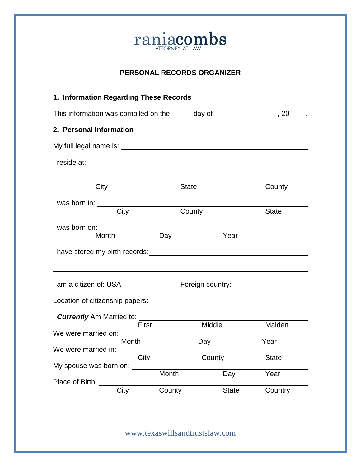

## **PERSONAL RECORDS ORGANIZER**

| 1. Information Regarding These Records                                                                         |              |              |              |  |
|----------------------------------------------------------------------------------------------------------------|--------------|--------------|--------------|--|
| This information was compiled on the ______ day of ________________, 20____.                                   |              |              |              |  |
| 2. Personal Information                                                                                        |              |              |              |  |
|                                                                                                                |              |              |              |  |
|                                                                                                                |              |              |              |  |
|                                                                                                                |              |              |              |  |
| City                                                                                                           | <b>State</b> |              | County       |  |
| I was born in: _______                                                                                         |              |              |              |  |
| City                                                                                                           | County       |              | <b>State</b> |  |
| I was born on: _______________                                                                                 |              |              |              |  |
| Month                                                                                                          | Day          | Year         |              |  |
| I have stored my birth records: Note that the state of the state of the state of the state of the state of the |              |              |              |  |
|                                                                                                                |              |              |              |  |
|                                                                                                                |              |              |              |  |
|                                                                                                                |              |              |              |  |
|                                                                                                                |              |              |              |  |
| First                                                                                                          |              | Middle       |              |  |
|                                                                                                                |              |              | Maiden       |  |
| Month                                                                                                          |              | Day          | Year         |  |
| We were married in:<br>City                                                                                    |              | County       | <b>State</b> |  |
| My spouse was born on:                                                                                         |              |              |              |  |
| Place of Birth:                                                                                                | Month        | Day          | Year         |  |
| City                                                                                                           | County       | <b>State</b> | Country      |  |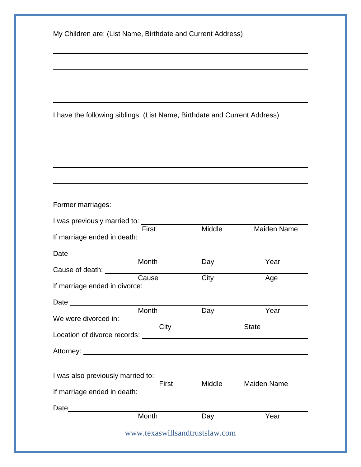|  |  | My Children are: (List Name, Birthdate and Current Address) |
|--|--|-------------------------------------------------------------|
|  |  |                                                             |

I have the following siblings: (List Name, Birthdate and Current Address)

## Former marriages:

| I was previously married to:                                                                                                                                                                                                   |                                |        |              |
|--------------------------------------------------------------------------------------------------------------------------------------------------------------------------------------------------------------------------------|--------------------------------|--------|--------------|
|                                                                                                                                                                                                                                | First                          | Middle | Maiden Name  |
| If marriage ended in death:                                                                                                                                                                                                    |                                |        |              |
| Date                                                                                                                                                                                                                           |                                |        |              |
|                                                                                                                                                                                                                                | Month                          | Day    | Year         |
|                                                                                                                                                                                                                                |                                |        |              |
|                                                                                                                                                                                                                                | Cause                          | City   | Age          |
| If marriage ended in divorce:                                                                                                                                                                                                  |                                |        |              |
|                                                                                                                                                                                                                                |                                |        |              |
|                                                                                                                                                                                                                                | <b>Month</b>                   | Day    | Year         |
|                                                                                                                                                                                                                                |                                |        |              |
|                                                                                                                                                                                                                                | City                           |        | <b>State</b> |
|                                                                                                                                                                                                                                |                                |        |              |
|                                                                                                                                                                                                                                |                                |        |              |
|                                                                                                                                                                                                                                |                                |        |              |
| I was also previously married to:                                                                                                                                                                                              |                                |        |              |
|                                                                                                                                                                                                                                | First                          | Middle | Maiden Name  |
| If marriage ended in death:                                                                                                                                                                                                    |                                |        |              |
| Date and the contract of the contract of the contract of the contract of the contract of the contract of the contract of the contract of the contract of the contract of the contract of the contract of the contract of the c |                                |        |              |
|                                                                                                                                                                                                                                | Month                          | Day    | Year         |
|                                                                                                                                                                                                                                | www.texaswillsandtrustslaw.com |        |              |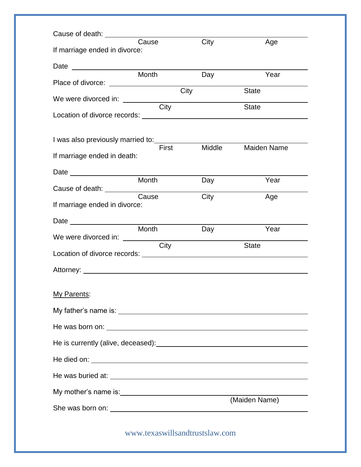| If marriage ended in divorce:     | Cause                          | City   | Age                |
|-----------------------------------|--------------------------------|--------|--------------------|
|                                   |                                |        |                    |
|                                   | Month                          | Day    | Year               |
|                                   | City                           |        | <b>State</b>       |
|                                   | City                           |        | <b>State</b>       |
| I was also previously married to: | First                          | Middle | <b>Maiden Name</b> |
| If marriage ended in death:       |                                |        |                    |
|                                   |                                |        |                    |
|                                   | Month                          | Day    | Year               |
| If marriage ended in divorce:     | Cause                          | City   | Age                |
|                                   | Month                          |        |                    |
| We were divorced in: <u>City</u>  |                                | Day    | Year               |
|                                   |                                |        | <b>State</b>       |
|                                   |                                |        |                    |
| My Parents:                       |                                |        |                    |
|                                   |                                |        |                    |
|                                   |                                |        |                    |
|                                   |                                |        |                    |
|                                   |                                |        |                    |
|                                   |                                |        |                    |
|                                   |                                |        |                    |
|                                   |                                |        | (Maiden Name)      |
|                                   | www.texaswillsandtrustslaw.com |        |                    |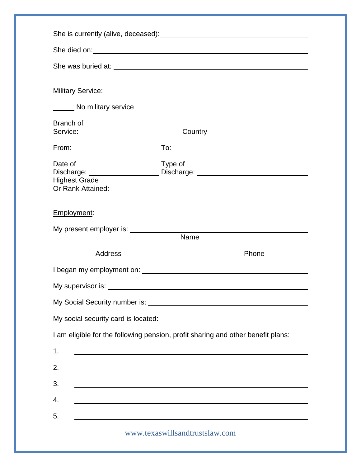|                                      | She died on: <u>example and contract and contract and contract and contract and contract and contract on the contract of the contract of the contract of the contract of the contract of the contract of the contract of the con</u> |
|--------------------------------------|--------------------------------------------------------------------------------------------------------------------------------------------------------------------------------------------------------------------------------------|
|                                      |                                                                                                                                                                                                                                      |
|                                      |                                                                                                                                                                                                                                      |
| <b>Military Service:</b>             |                                                                                                                                                                                                                                      |
| No military service                  |                                                                                                                                                                                                                                      |
| Branch of                            |                                                                                                                                                                                                                                      |
|                                      |                                                                                                                                                                                                                                      |
|                                      |                                                                                                                                                                                                                                      |
| Date of                              | Type of                                                                                                                                                                                                                              |
| <b>Highest Grade</b>                 |                                                                                                                                                                                                                                      |
|                                      |                                                                                                                                                                                                                                      |
| My present employer is: ____________ | Name                                                                                                                                                                                                                                 |
| <b>Address</b>                       | Phone                                                                                                                                                                                                                                |
|                                      |                                                                                                                                                                                                                                      |
|                                      |                                                                                                                                                                                                                                      |
|                                      |                                                                                                                                                                                                                                      |
|                                      |                                                                                                                                                                                                                                      |
|                                      | I am eligible for the following pension, profit sharing and other benefit plans:                                                                                                                                                     |
| 1.                                   |                                                                                                                                                                                                                                      |
| 2.                                   | <u> 1989 - Johann Barn, amerikan bernama di sebagai bernama dan bernama di sebagai bernama di sebagai bernama di</u>                                                                                                                 |
| 3.                                   | ,我们也不能在这里的时候,我们也不能在这里的时候,我们也不能会不能会不能会不能会不能会不能会不能会不能会。<br>第2012章 我们的时候,我们的时候,我们的时候,我们的时候,我们的时候,我们的时候,我们的时候,我们的时候,我们的时候,我们的时候,我们的时候,我们的时候,我                                                                                            |
| 4.                                   |                                                                                                                                                                                                                                      |
| 5.                                   |                                                                                                                                                                                                                                      |
|                                      |                                                                                                                                                                                                                                      |
|                                      | www.texaswillsandtrustslaw.com                                                                                                                                                                                                       |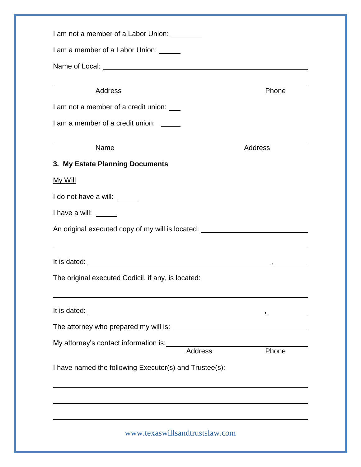| I am a member of a Labor Union: ______                                                                                                                                                                                                                                                                                                                                                                                |         |
|-----------------------------------------------------------------------------------------------------------------------------------------------------------------------------------------------------------------------------------------------------------------------------------------------------------------------------------------------------------------------------------------------------------------------|---------|
|                                                                                                                                                                                                                                                                                                                                                                                                                       |         |
|                                                                                                                                                                                                                                                                                                                                                                                                                       |         |
| <b>Address</b>                                                                                                                                                                                                                                                                                                                                                                                                        | Phone   |
| I am not a member of a credit union: ___                                                                                                                                                                                                                                                                                                                                                                              |         |
| I am a member of a credit union:                                                                                                                                                                                                                                                                                                                                                                                      |         |
| Name                                                                                                                                                                                                                                                                                                                                                                                                                  | Address |
| 3. My Estate Planning Documents                                                                                                                                                                                                                                                                                                                                                                                       |         |
| My Will                                                                                                                                                                                                                                                                                                                                                                                                               |         |
| I do not have a will: _____                                                                                                                                                                                                                                                                                                                                                                                           |         |
| I have a will: $\frac{1}{\sqrt{1-\frac{1}{\sqrt{1-\frac{1}{\sqrt{1-\frac{1}{\sqrt{1-\frac{1}{\sqrt{1-\frac{1}{\sqrt{1-\frac{1}{\sqrt{1-\frac{1}{\sqrt{1-\frac{1}{\sqrt{1-\frac{1}{\sqrt{1-\frac{1}{\sqrt{1-\frac{1}{\sqrt{1-\frac{1}{\sqrt{1-\frac{1}{\sqrt{1-\frac{1}{\sqrt{1-\frac{1}{\sqrt{1-\frac{1}{\sqrt{1-\frac{1}{\sqrt{1-\frac{1}{\sqrt{1-\frac{1}{\sqrt{1-\frac{1}{\sqrt{1-\frac{1}{\sqrt{1-\frac{1}{\sqrt$ |         |
| An original executed copy of my will is located: _______________________________                                                                                                                                                                                                                                                                                                                                      |         |
| ,我们也不会有什么。""我们的人,我们也不会有什么?""我们的人,我们也不会有什么?""我们的人,我们也不会有什么?""我们的人,我们也不会有什么?""我们的人                                                                                                                                                                                                                                                                                                                                      |         |
|                                                                                                                                                                                                                                                                                                                                                                                                                       |         |
| The original executed Codicil, if any, is located:                                                                                                                                                                                                                                                                                                                                                                    |         |
|                                                                                                                                                                                                                                                                                                                                                                                                                       |         |
|                                                                                                                                                                                                                                                                                                                                                                                                                       |         |
|                                                                                                                                                                                                                                                                                                                                                                                                                       |         |
| My attorney's contact information is:<br>Address                                                                                                                                                                                                                                                                                                                                                                      |         |
|                                                                                                                                                                                                                                                                                                                                                                                                                       | Phone   |
| I have named the following Executor(s) and Trustee(s):                                                                                                                                                                                                                                                                                                                                                                |         |
|                                                                                                                                                                                                                                                                                                                                                                                                                       |         |
|                                                                                                                                                                                                                                                                                                                                                                                                                       |         |
|                                                                                                                                                                                                                                                                                                                                                                                                                       |         |
| and the control of the control of the control of the control of the control of the control of the control of the                                                                                                                                                                                                                                                                                                      |         |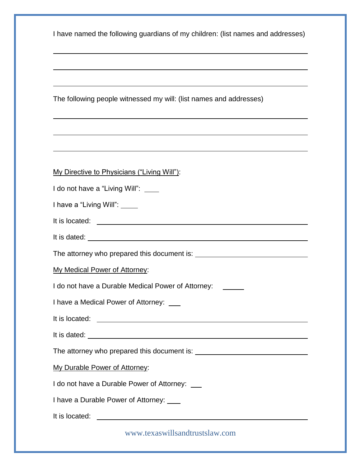The following people witnessed my will: (list names and addresses)

| My Directive to Physicians ("Living Will"): |  |  |  |
|---------------------------------------------|--|--|--|
|                                             |  |  |  |

|  |  |  |  |  | I do not have a "Living Will": |  |  |
|--|--|--|--|--|--------------------------------|--|--|
|--|--|--|--|--|--------------------------------|--|--|

| I have a "Living Will": |  |
|-------------------------|--|
|-------------------------|--|

| It is located: |
|----------------|
|                |

| It is dated: |  |
|--------------|--|
|              |  |
|              |  |

The attorney who prepared this document is:

My Medical Power of Attorney:

I do not have a Durable Medical Power of Attorney: \_\_\_\_\_\_

I have a Medical Power of Attorney:

It is located: **It is located:**  $\blacksquare$ 

It is dated:

The attorney who prepared this document is:

My Durable Power of Attorney:

I do not have a Durable Power of Attorney: \_\_\_

I have a Durable Power of Attorney:

It is located:  $\blacksquare$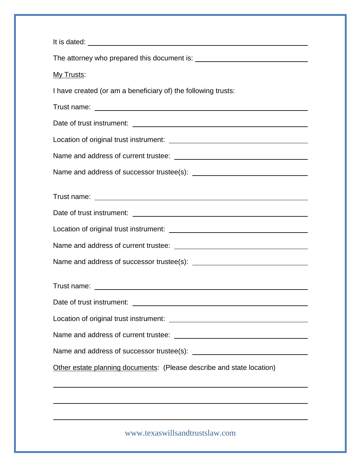| My Trusts:                                                            |
|-----------------------------------------------------------------------|
| I have created (or am a beneficiary of) the following trusts:         |
|                                                                       |
|                                                                       |
|                                                                       |
|                                                                       |
|                                                                       |
|                                                                       |
|                                                                       |
|                                                                       |
|                                                                       |
|                                                                       |
|                                                                       |
|                                                                       |
|                                                                       |
|                                                                       |
|                                                                       |
| Other estate planning documents: (Please describe and state location) |
|                                                                       |
| <u> 1989 - Andrea Andrew Maria (h. 1989).</u>                         |
|                                                                       |
| www.texaswillsandtrustslaw.com                                        |
|                                                                       |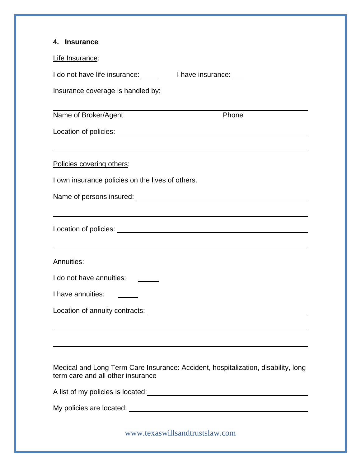| 4. Insurance                                                                                                           |  |
|------------------------------------------------------------------------------------------------------------------------|--|
| Life Insurance:                                                                                                        |  |
|                                                                                                                        |  |
| Insurance coverage is handled by:                                                                                      |  |
| Phone<br>Name of Broker/Agent                                                                                          |  |
|                                                                                                                        |  |
|                                                                                                                        |  |
| Policies covering others:                                                                                              |  |
| I own insurance policies on the lives of others.                                                                       |  |
|                                                                                                                        |  |
|                                                                                                                        |  |
|                                                                                                                        |  |
|                                                                                                                        |  |
| Annuities:                                                                                                             |  |
| I do not have annuities:                                                                                               |  |
| I have annuities:                                                                                                      |  |
|                                                                                                                        |  |
|                                                                                                                        |  |
|                                                                                                                        |  |
|                                                                                                                        |  |
| Medical and Long Term Care Insurance: Accident, hospitalization, disability, long<br>term care and all other insurance |  |
|                                                                                                                        |  |
|                                                                                                                        |  |
|                                                                                                                        |  |
| www.texaswillsandtrustslaw.com                                                                                         |  |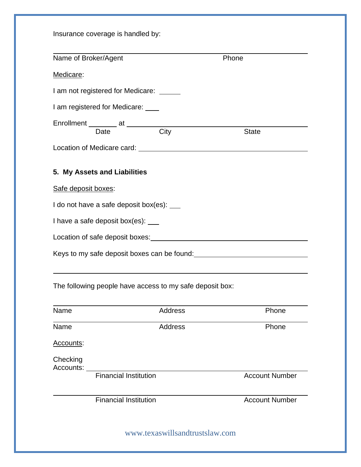|                     | Name of Broker/Agent                      |                                                          | Phone                                                                                                                                                                                                                          |
|---------------------|-------------------------------------------|----------------------------------------------------------|--------------------------------------------------------------------------------------------------------------------------------------------------------------------------------------------------------------------------------|
|                     |                                           |                                                          |                                                                                                                                                                                                                                |
| Medicare:           |                                           |                                                          |                                                                                                                                                                                                                                |
|                     | I am not registered for Medicare: _____   |                                                          |                                                                                                                                                                                                                                |
|                     | I am registered for Medicare: ____        |                                                          |                                                                                                                                                                                                                                |
|                     |                                           | Enrollment Date at City                                  | <b>State</b>                                                                                                                                                                                                                   |
|                     |                                           |                                                          |                                                                                                                                                                                                                                |
|                     |                                           |                                                          |                                                                                                                                                                                                                                |
|                     | 5. My Assets and Liabilities              |                                                          |                                                                                                                                                                                                                                |
| Safe deposit boxes: |                                           |                                                          |                                                                                                                                                                                                                                |
|                     | I do not have a safe deposit box(es): ___ |                                                          |                                                                                                                                                                                                                                |
|                     | I have a safe deposit box(es): ___        |                                                          |                                                                                                                                                                                                                                |
|                     |                                           |                                                          | Location of safe deposit boxes: very sensity of the same state of the same state of the same state of the state of the state of the state of the state of the state of the state of the state of the state of the state of the |
|                     |                                           |                                                          |                                                                                                                                                                                                                                |
|                     |                                           |                                                          |                                                                                                                                                                                                                                |
|                     |                                           |                                                          | Keys to my safe deposit boxes can be found:                                                                                                                                                                                    |
|                     |                                           |                                                          |                                                                                                                                                                                                                                |
|                     |                                           | The following people have access to my safe deposit box: |                                                                                                                                                                                                                                |
| Name                |                                           | Address                                                  | Phone                                                                                                                                                                                                                          |
| Name                |                                           | <b>Address</b>                                           | Phone                                                                                                                                                                                                                          |
| Accounts:           |                                           |                                                          |                                                                                                                                                                                                                                |
| Checking            |                                           |                                                          |                                                                                                                                                                                                                                |
| Accounts:           |                                           |                                                          |                                                                                                                                                                                                                                |
|                     | <b>Financial Institution</b>              |                                                          | <b>Account Number</b>                                                                                                                                                                                                          |
|                     | <b>Financial Institution</b>              |                                                          | <b>Account Number</b>                                                                                                                                                                                                          |
|                     |                                           |                                                          |                                                                                                                                                                                                                                |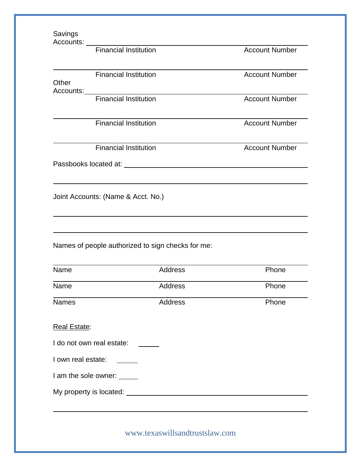| Savings              |                                    | Accounts: <u>Financial Institution</u>            |                                                                                  |
|----------------------|------------------------------------|---------------------------------------------------|----------------------------------------------------------------------------------|
|                      |                                    |                                                   | <b>Account Number</b>                                                            |
| Other                | <b>Financial Institution</b>       |                                                   | <b>Account Number</b>                                                            |
|                      |                                    | Accounts:<br>Financial Institution                |                                                                                  |
|                      |                                    |                                                   | <b>Account Number</b>                                                            |
|                      | <b>Financial Institution</b>       |                                                   | <b>Account Number</b>                                                            |
|                      | <b>Financial Institution</b>       |                                                   | <b>Account Number</b>                                                            |
|                      |                                    |                                                   |                                                                                  |
|                      |                                    |                                                   |                                                                                  |
|                      |                                    |                                                   |                                                                                  |
|                      | Joint Accounts: (Name & Acct. No.) |                                                   |                                                                                  |
|                      |                                    |                                                   | ,我们也不会有什么。""我们的人,我们也不会有什么?""我们的人,我们也不会有什么?""我们的人,我们也不会有什么?""我们的人,我们也不会有什么?""我们的人 |
|                      |                                    |                                                   |                                                                                  |
|                      |                                    | Names of people authorized to sign checks for me: |                                                                                  |
| Name                 |                                    | Address                                           | Phone                                                                            |
|                      |                                    | Address                                           | Phone                                                                            |
| Name<br><b>Names</b> |                                    | Address                                           | Phone                                                                            |
|                      |                                    |                                                   |                                                                                  |
| <b>Real Estate:</b>  | I do not own real estate:          |                                                   |                                                                                  |
|                      |                                    |                                                   |                                                                                  |
|                      | I am the sole owner: _____         |                                                   |                                                                                  |
| I own real estate:   |                                    |                                                   |                                                                                  |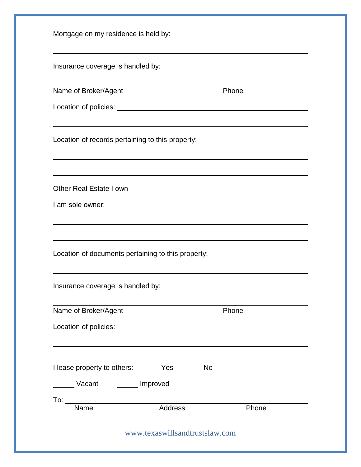| Mortgage on my residence is held by:                                                |                                |       |  |
|-------------------------------------------------------------------------------------|--------------------------------|-------|--|
| Insurance coverage is handled by:                                                   |                                |       |  |
| Name of Broker/Agent                                                                |                                | Phone |  |
|                                                                                     |                                |       |  |
| Location of records pertaining to this property: _______________________________    |                                |       |  |
| Other Real Estate I own<br>I am sole owner:                                         |                                |       |  |
| Location of documents pertaining to this property:                                  |                                |       |  |
| Insurance coverage is handled by:                                                   |                                |       |  |
| Name of Broker/Agent                                                                |                                | Phone |  |
|                                                                                     |                                |       |  |
|                                                                                     |                                |       |  |
| I lease property to others: _______ Yes _______ No<br>Vacant <b>Manual</b> Improved |                                |       |  |
| $\frac{1}{2}$<br>Name                                                               | Address                        | Phone |  |
|                                                                                     | www.texaswillsandtrustslaw.com |       |  |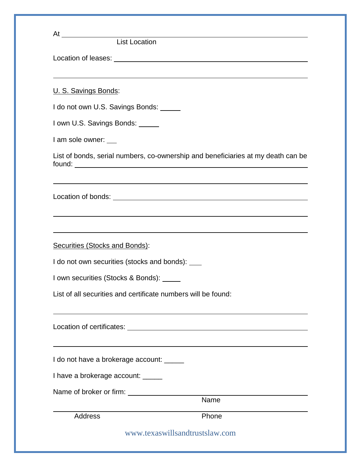|                                                  | At Location                                                                      |
|--------------------------------------------------|----------------------------------------------------------------------------------|
|                                                  |                                                                                  |
| U. S. Savings Bonds:                             |                                                                                  |
| I do not own U.S. Savings Bonds: _____           |                                                                                  |
| I own U.S. Savings Bonds: _____                  |                                                                                  |
| I am sole owner:                                 |                                                                                  |
|                                                  | List of bonds, serial numbers, co-ownership and beneficiaries at my death can be |
|                                                  |                                                                                  |
|                                                  |                                                                                  |
|                                                  | ,我们也不会有什么。""我们的人,我们也不会有什么?""我们的人,我们也不会有什么?""我们的人,我们也不会有什么?""我们的人,我们也不会有什么?""我们的人 |
| <b>Securities (Stocks and Bonds):</b>            |                                                                                  |
| I do not own securities (stocks and bonds): ____ |                                                                                  |
| I own securities (Stocks & Bonds): _____         |                                                                                  |
|                                                  | List of all securities and certificate numbers will be found:                    |
|                                                  |                                                                                  |
| I do not have a brokerage account: ______        |                                                                                  |
| I have a brokerage account: _____                |                                                                                  |
|                                                  |                                                                                  |
|                                                  | $\overline{\mathsf{Name}}$                                                       |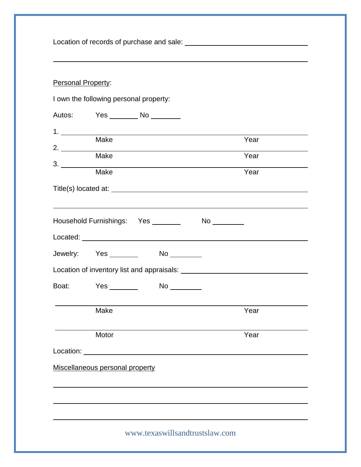Location of records of purchase and sale:

## Personal Property:

|           | I own the following personal property: |  |                                |              |  |
|-----------|----------------------------------------|--|--------------------------------|--------------|--|
|           | Autos: Yes No                          |  |                                |              |  |
|           | <b>Make</b><br>Make                    |  |                                | Year<br>Year |  |
| 3.        |                                        |  |                                |              |  |
|           | Make                                   |  |                                | Year         |  |
|           | Household Furnishings: Yes             |  |                                |              |  |
|           |                                        |  |                                |              |  |
|           | Jewelry: Yes _________ No ________     |  |                                |              |  |
|           |                                        |  |                                |              |  |
|           | Boat: Yes _________                    |  |                                |              |  |
|           | Make                                   |  |                                | Year         |  |
|           | Motor                                  |  |                                | Year         |  |
| Location: |                                        |  |                                |              |  |
|           | Miscellaneous personal property        |  |                                |              |  |
|           |                                        |  | www.texaswillsandtrustslaw.com |              |  |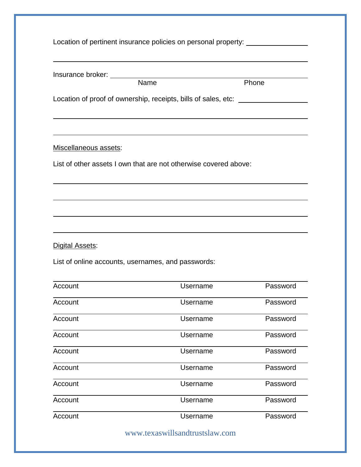|                       | Insurance broker: Name Phone                                                     |          |
|-----------------------|----------------------------------------------------------------------------------|----------|
|                       |                                                                                  |          |
|                       | Location of proof of ownership, receipts, bills of sales, etc: _________________ |          |
|                       |                                                                                  |          |
| Miscellaneous assets: |                                                                                  |          |
|                       | List of other assets I own that are not otherwise covered above:                 |          |
|                       |                                                                                  |          |
|                       | ,我们也不会有什么。""我们的人,我们也不会有什么?""我们的人,我们也不会有什么?""我们的人,我们也不会有什么?""我们的人,我们也不会有什么?""我们的人 |          |
|                       |                                                                                  |          |
|                       |                                                                                  |          |
|                       |                                                                                  |          |
| Digital Assets:       |                                                                                  |          |
|                       | List of online accounts, usernames, and passwords:                               |          |
|                       |                                                                                  |          |
| Account               | Username                                                                         | Password |
| Account               | Username                                                                         | Password |
| Account               | Username                                                                         | Password |
| Account               | Username                                                                         | Password |
| Account               | <b>Username</b>                                                                  | Password |
| Account               | Username                                                                         | Password |
| Account               | Username                                                                         | Password |
| Account               | <b>Username</b>                                                                  | Password |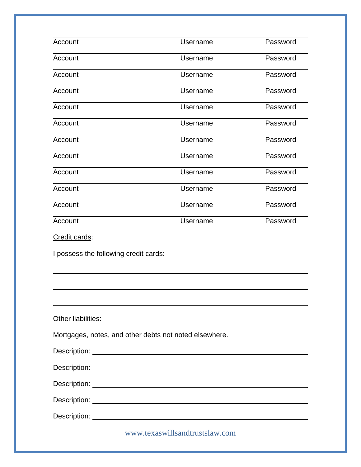| Account                               | Username                                               | Password |
|---------------------------------------|--------------------------------------------------------|----------|
| Account                               | Username                                               | Password |
| Account                               | Username                                               | Password |
| Account                               | Username                                               | Password |
| Account                               | Username                                               | Password |
| Account                               | Username                                               | Password |
| Account                               | Username                                               | Password |
| Account                               | Username                                               | Password |
| Account                               | Username                                               | Password |
| Account                               | Username                                               | Password |
| Account                               | Username                                               | Password |
| Account                               | Username                                               | Password |
| Credit cards:                         |                                                        |          |
| I possess the following credit cards: |                                                        |          |
|                                       |                                                        |          |
|                                       |                                                        |          |
|                                       |                                                        |          |
| Other liabilities:                    |                                                        |          |
|                                       | Mortgages, notes, and other debts not noted elsewhere. |          |
|                                       |                                                        |          |
|                                       |                                                        |          |
|                                       |                                                        |          |
|                                       |                                                        |          |
|                                       |                                                        |          |
|                                       |                                                        |          |
|                                       | www.texaswillsandtrustslaw.com                         |          |
|                                       |                                                        |          |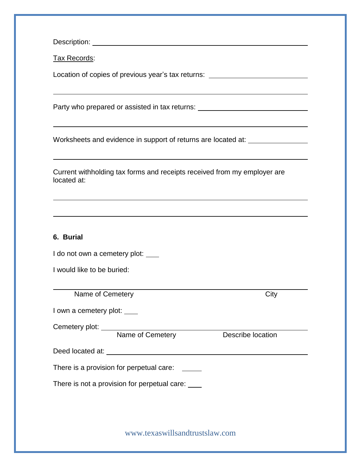Description: **Description:** 

Tax Records:

Location of copies of previous year's tax returns: \_\_\_\_\_\_\_\_\_\_\_\_\_\_\_\_\_\_\_\_\_\_\_\_\_\_\_\_\_

Party who prepared or assisted in tax returns: \_\_\_\_\_\_\_\_\_\_\_\_\_\_\_\_\_\_\_\_\_\_\_\_\_\_\_\_\_\_\_\_\_

Worksheets and evidence in support of returns are located at:

| Current withholding tax forms and receipts received from my employer are |  |
|--------------------------------------------------------------------------|--|
| located at:                                                              |  |

## **6. Burial**

I do not own a cemetery plot: \_\_\_\_

I would like to be buried:

Name of Cemetery **City** 

I own a cemetery plot:  $\frac{1}{\sqrt{1-\frac{1}{\sqrt{1-\frac{1}{\sqrt{1-\frac{1}{\sqrt{1-\frac{1}{\sqrt{1-\frac{1}{\sqrt{1-\frac{1}{\sqrt{1-\frac{1}{\sqrt{1-\frac{1}{\sqrt{1-\frac{1}{\sqrt{1-\frac{1}{\sqrt{1-\frac{1}{\sqrt{1-\frac{1}{\sqrt{1-\frac{1}{\sqrt{1-\frac{1}{\sqrt{1-\frac{1}{\sqrt{1-\frac{1}{\sqrt{1-\frac{1}{\sqrt{1-\frac{1}{\sqrt{1-\frac{1}{\sqrt{1-\frac{1}{\sqrt{1-\frac{1}{\sqrt{1$ 

Cemetery plot:

Name of Cemetery **Describe location** 

| Deed located at: |  |
|------------------|--|
|                  |  |

There is a provision for perpetual care:

There is not a provision for perpetual care: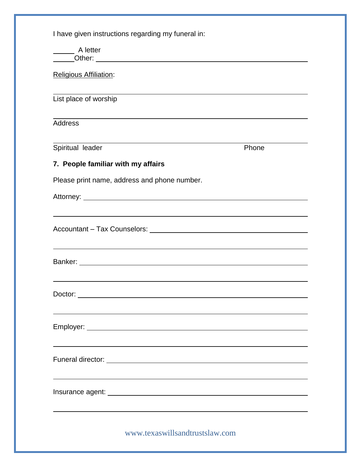| A letter                                                                                                                                                                                                                             |       |  |
|--------------------------------------------------------------------------------------------------------------------------------------------------------------------------------------------------------------------------------------|-------|--|
| Religious Affiliation:                                                                                                                                                                                                               |       |  |
| List place of worship                                                                                                                                                                                                                |       |  |
| <b>Address</b>                                                                                                                                                                                                                       |       |  |
| Spiritual leader                                                                                                                                                                                                                     | Phone |  |
| 7. People familiar with my affairs                                                                                                                                                                                                   |       |  |
| Please print name, address and phone number.                                                                                                                                                                                         |       |  |
| Attorney: <u>the contract of the contract of the contract of the contract of the contract of the contract of the contract of the contract of the contract of the contract of the contract of the contract of the contract of the</u> |       |  |
| ,我们也不会有什么。""我们的人,我们也不会有什么?""我们的人,我们也不会有什么?""我们的人,我们也不会有什么?""我们的人,我们也不会有什么?""我们的人                                                                                                                                                     |       |  |
| Accountant - Tax Counselors: Note that the set of the set of the set of the set of the set of the set of the set of the set of the set of the set of the set of the set of the set of the set of the set of the set of the set       |       |  |
|                                                                                                                                                                                                                                      |       |  |
|                                                                                                                                                                                                                                      |       |  |
|                                                                                                                                                                                                                                      |       |  |
|                                                                                                                                                                                                                                      |       |  |
|                                                                                                                                                                                                                                      |       |  |
|                                                                                                                                                                                                                                      |       |  |
|                                                                                                                                                                                                                                      |       |  |
|                                                                                                                                                                                                                                      |       |  |
|                                                                                                                                                                                                                                      |       |  |
|                                                                                                                                                                                                                                      |       |  |
|                                                                                                                                                                                                                                      |       |  |